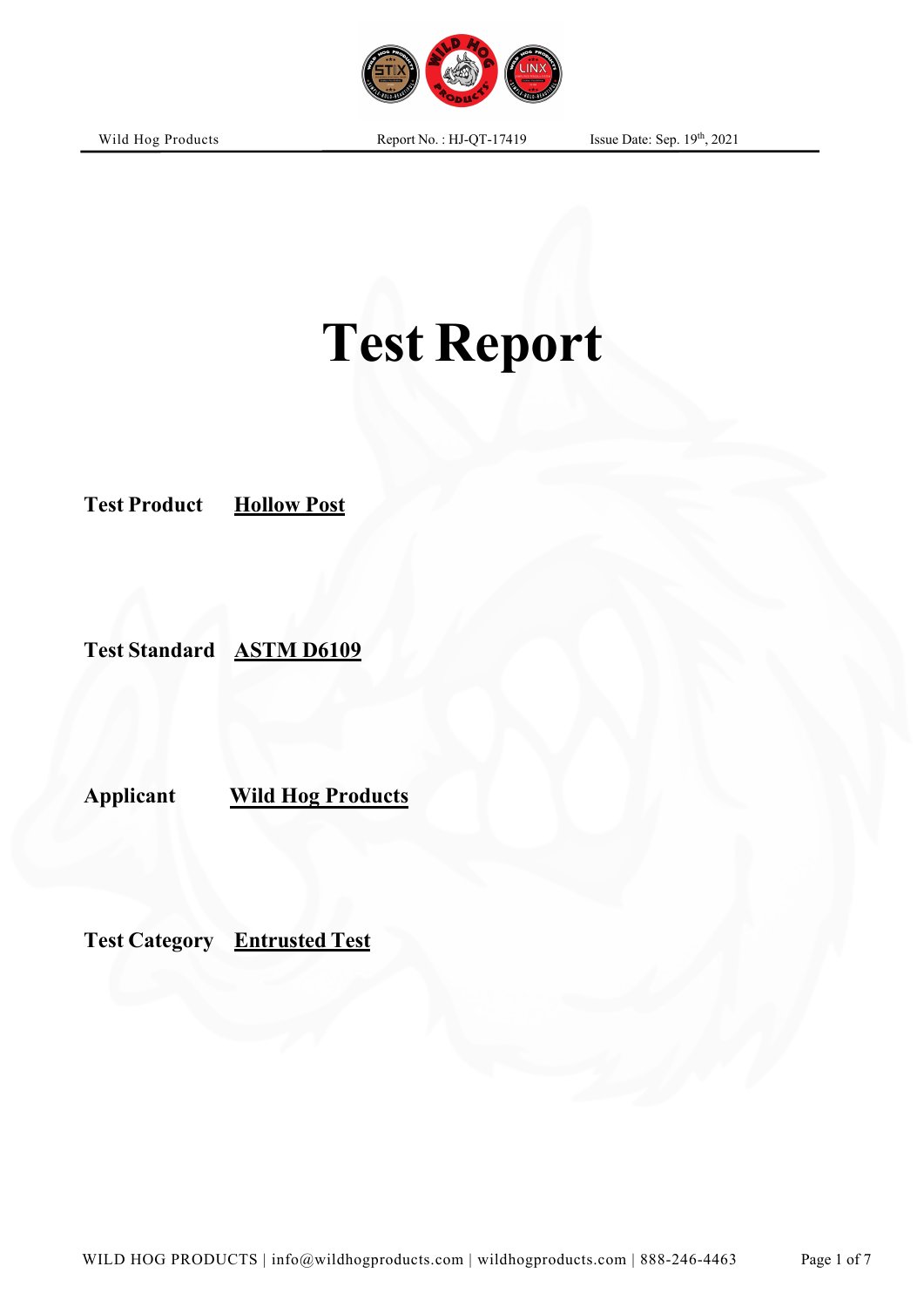

**Applicant Wild Hog Products**

**Test Product Hollow Post**

**Test Standard ASTM D6109**

**Test Category Entrusted Test**

Wild Hog Products

th , 2021

Page 1 of 7

# **Test Report**

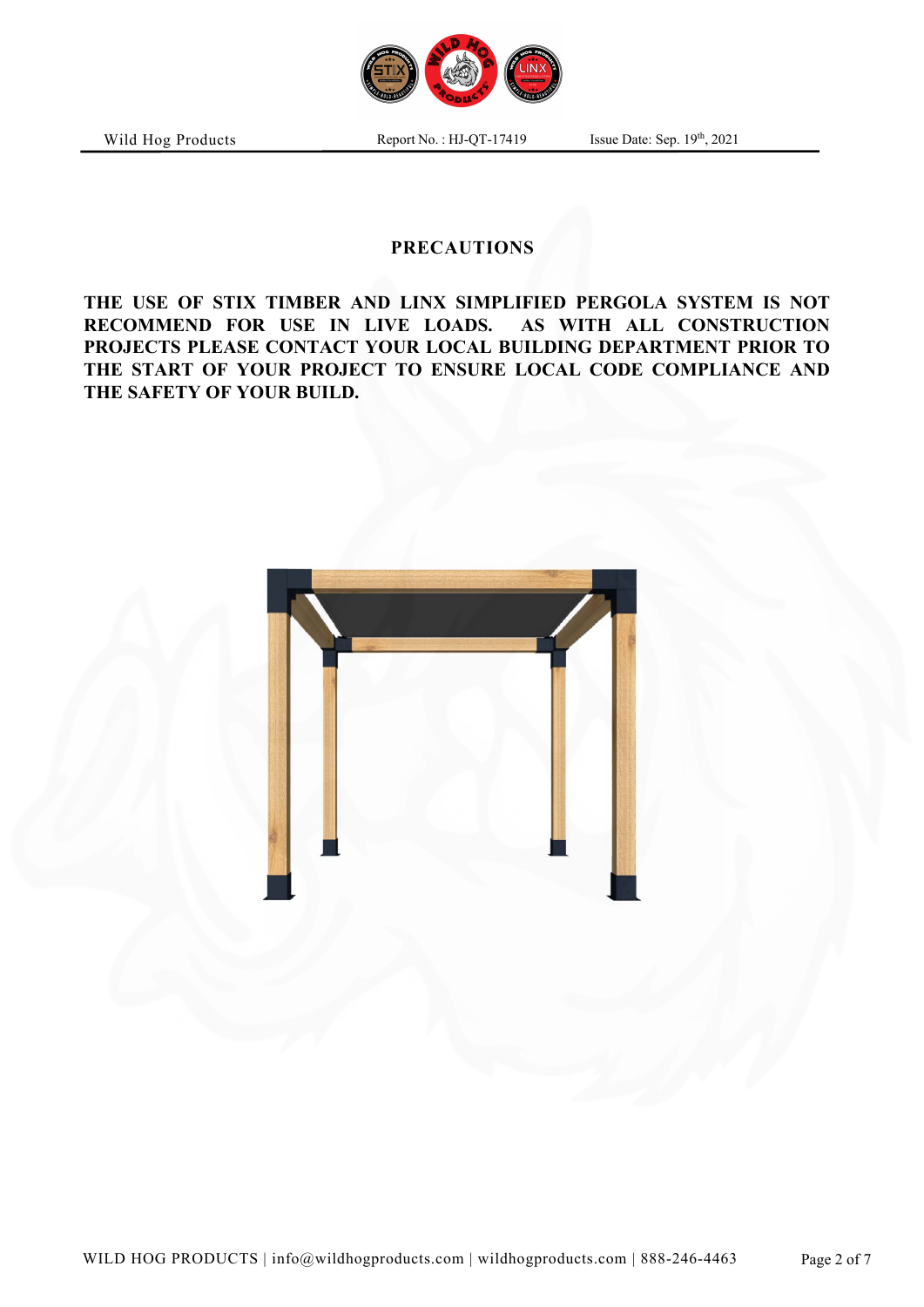

Report No.: HJ-QT-17419

th , 2021

# **PRECAUTIONS**

**THE USE OF STIX TIMBER AND LINX SIMPLIFIED PERGOLA SYSTEM IS NOT RECOMMEND FOR USE IN LIVE LOADS. AS WITH ALL CONSTRUCTION PROJECTS PLEASE CONTACT YOUR LOCAL BUILDING DEPARTMENT PRIOR TO THE START OF YOUR PROJECT TO ENSURE LOCAL CODE COMPLIANCE AND THE SAFETY OF YOUR BUILD.**

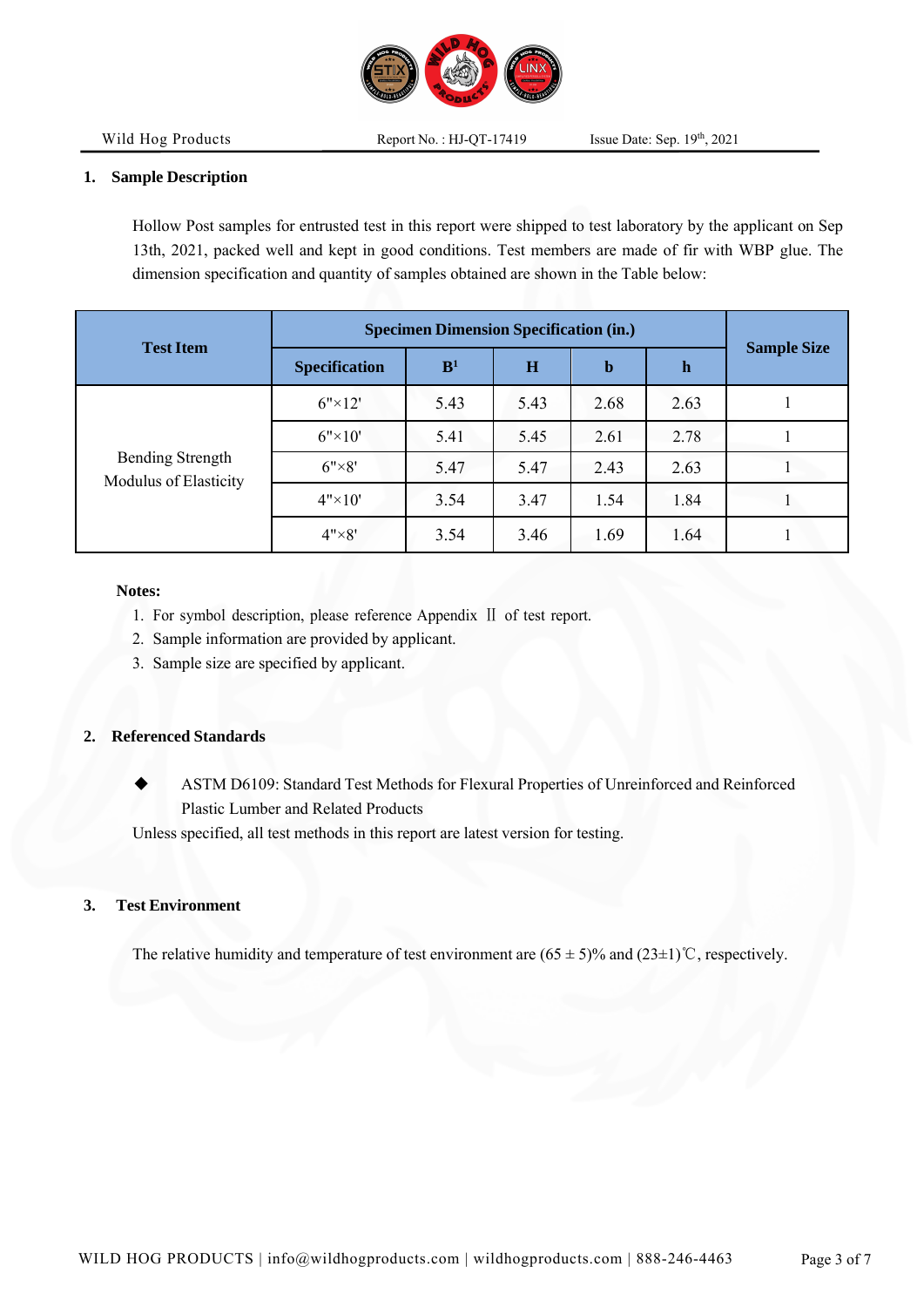

th , 2021

#### **1. Sample Description**

Hollow Post samples for entrusted test in this report were shipped to test laboratory by the applicant on Sep 13th, 2021, packed well and kept in good conditions. Test members are made of fir with WBP glue. The dimension specification and quantity of samples obtained are shown in the Table below:

|                                                  | <b>Specimen Dimension Specification (in.)</b> |                |      |             |      |                    |  |
|--------------------------------------------------|-----------------------------------------------|----------------|------|-------------|------|--------------------|--|
| <b>Test Item</b>                                 | <b>Specification</b>                          | B <sup>1</sup> | H    | $\mathbf b$ | h    | <b>Sample Size</b> |  |
| <b>Bending Strength</b><br>Modulus of Elasticity | $6" \times 12'$                               | 5.43           | 5.43 | 2.68        | 2.63 |                    |  |
|                                                  | $6" \times 10'$                               | 5.41           | 5.45 | 2.61        | 2.78 |                    |  |
|                                                  | $6" \times 8"$                                | 5.47           | 5.47 | 2.43        | 2.63 |                    |  |
|                                                  | $4" \times 10'$                               | 3.54           | 3.47 | 1.54        | 1.84 |                    |  |
|                                                  | $4" \times 8"$                                | 3.54           | 3.46 | 1.69        | 1.64 |                    |  |

#### **Notes:**

- 1. For symbol description, please reference Appendix Ⅱ of test report.
- 2. Sample information are provided by applicant.
- 3. Sample size are specified by applicant.

#### **2. Referenced Standards**

ASTM D6109: Standard Test Methods for Flexural Properties of Unreinforced and Reinforced Plastic Lumber and Related Products

Unless specified, all test methods in this report are latest version for testing.

#### **3. Test Environment**

The relative humidity and temperature of test environment are  $(65 \pm 5)\%$  and  $(23 \pm 1)\degree$ C, respectively.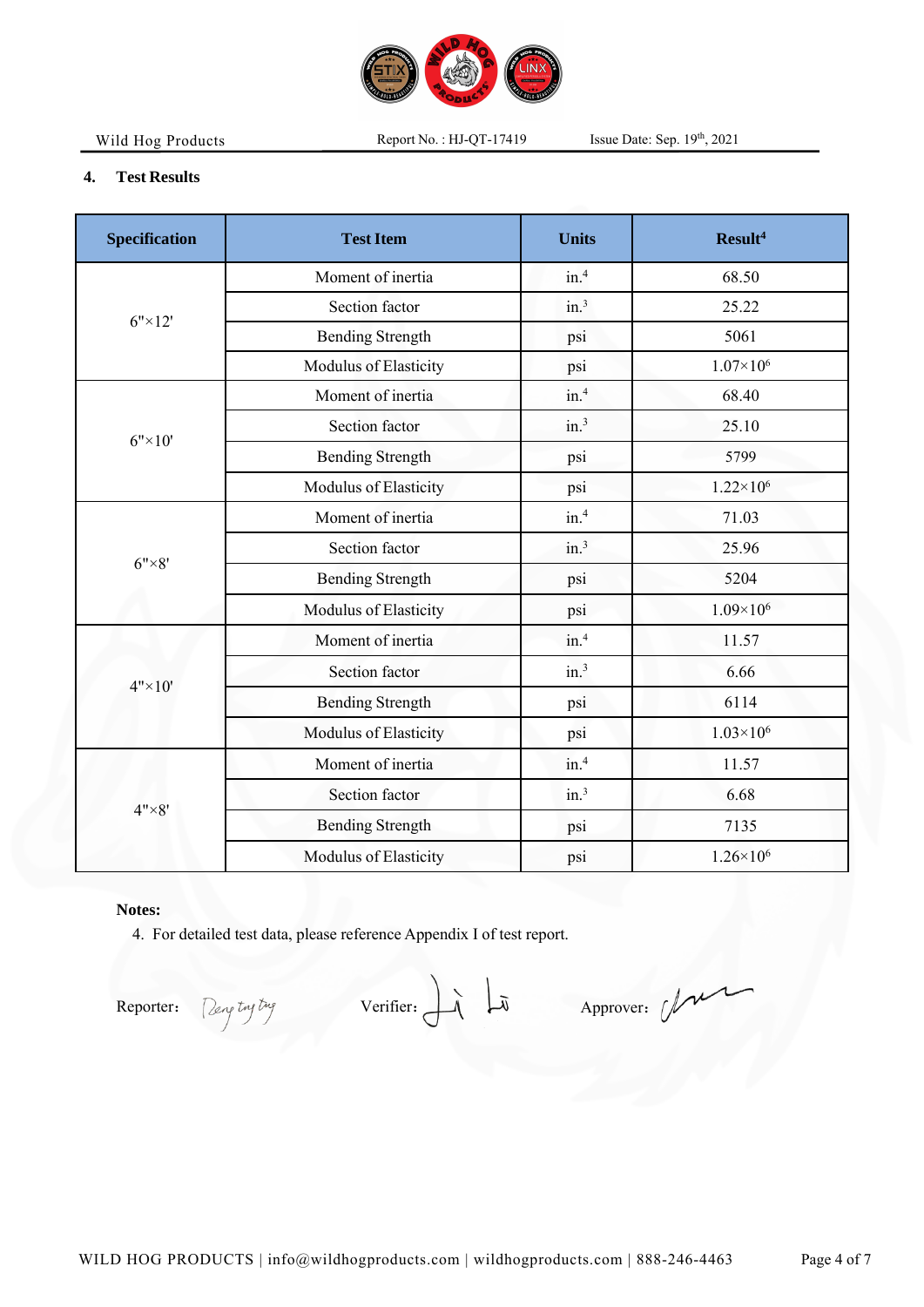

Report No.: HJ-QT-17419

th , 2021

## **4. Test Results**

| <b>Specification</b> | <b>Test Item</b>             | <b>Units</b>     | Result <sup>4</sup> |  |
|----------------------|------------------------------|------------------|---------------------|--|
| $6" \times 12'$      | Moment of inertia            | in. <sup>4</sup> | 68.50               |  |
|                      | Section factor               | in. <sup>3</sup> | 25.22               |  |
|                      | <b>Bending Strength</b>      | psi              | 5061                |  |
|                      | Modulus of Elasticity        | psi              | $1.07\times10^{6}$  |  |
| $6" \times 10"$      | Moment of inertia            | in.4             | 68.40               |  |
|                      | Section factor               | in. <sup>3</sup> | 25.10               |  |
|                      | <b>Bending Strength</b>      | psi              | 5799                |  |
|                      | Modulus of Elasticity        | psi              | $1.22 \times 10^6$  |  |
| $6" \times 8"$       | Moment of inertia            | in. <sup>4</sup> | 71.03               |  |
|                      | Section factor               | in. <sup>3</sup> | 25.96               |  |
|                      | <b>Bending Strength</b>      | psi              | 5204                |  |
|                      | Modulus of Elasticity        | psi              | $1.09\times10^{6}$  |  |
| $4" \times 10'$      | Moment of inertia            | in. <sup>4</sup> | 11.57               |  |
|                      | Section factor               | in. <sup>3</sup> | 6.66                |  |
|                      | <b>Bending Strength</b>      | psi              | 6114                |  |
|                      | Modulus of Elasticity        | psi              | $1.03\times10^{6}$  |  |
| $4" \times 8"$       | Moment of inertia            | in. <sup>4</sup> | 11.57               |  |
|                      | Section factor               | in. <sup>3</sup> | 6.68                |  |
|                      | <b>Bending Strength</b>      | psi              | 7135                |  |
|                      | <b>Modulus of Elasticity</b> | psi              | $1.26 \times 10^6$  |  |

## **Notes:**

4. For detailed test data, please reference Appendix I of test report.

Reporter: Dengtnyting Verifier:  $\overrightarrow{A}$   $\overrightarrow{A}$  Approver:  $\overrightarrow{A}$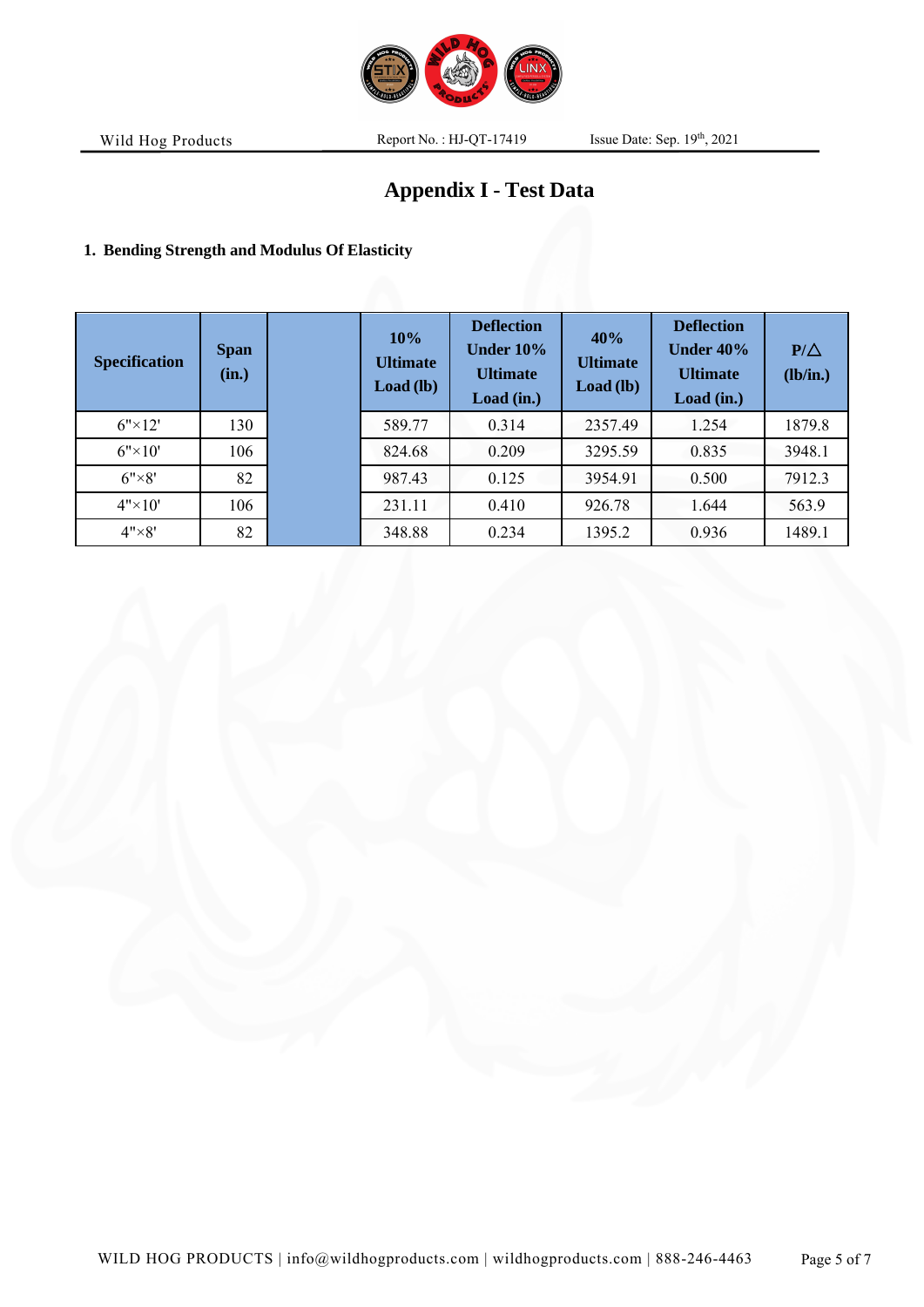

Report No.: HJ-QT-17419

th , 2021

# **Appendix I - Test Data**

# **1. Bending Strength and Modulus Of Elasticity**

| <b>Specification</b> | <b>Span</b><br>(in.) | 10%<br><b>Ultimate</b><br>Load (lb) | <b>Deflection</b><br><b>Under 10%</b><br><b>Ultimate</b><br>Load (in.) | 40%<br><b>Ultimate</b><br>Load (lb) | <b>Deflection</b><br>Under $40\%$<br><b>Ultimate</b><br>Load (in.) | $P/\triangle$<br>(lb/in.) |
|----------------------|----------------------|-------------------------------------|------------------------------------------------------------------------|-------------------------------------|--------------------------------------------------------------------|---------------------------|
| $6" \times 12'$      | 130                  | 589.77                              | 0.314                                                                  | 2357.49                             | 1.254                                                              | 1879.8                    |
| $6" \times 10'$      | 106                  | 824.68                              | 0.209                                                                  | 3295.59                             | 0.835                                                              | 3948.1                    |
| $6" \times 8"$       | 82                   | 987.43                              | 0.125                                                                  | 3954.91                             | 0.500                                                              | 7912.3                    |
| $4" \times 10'$      | 106                  | 231.11                              | 0.410                                                                  | 926.78                              | 1.644                                                              | 563.9                     |
| $4" \times 8"$       | 82                   | 348.88                              | 0.234                                                                  | 1395.2                              | 0.936                                                              | 1489.1                    |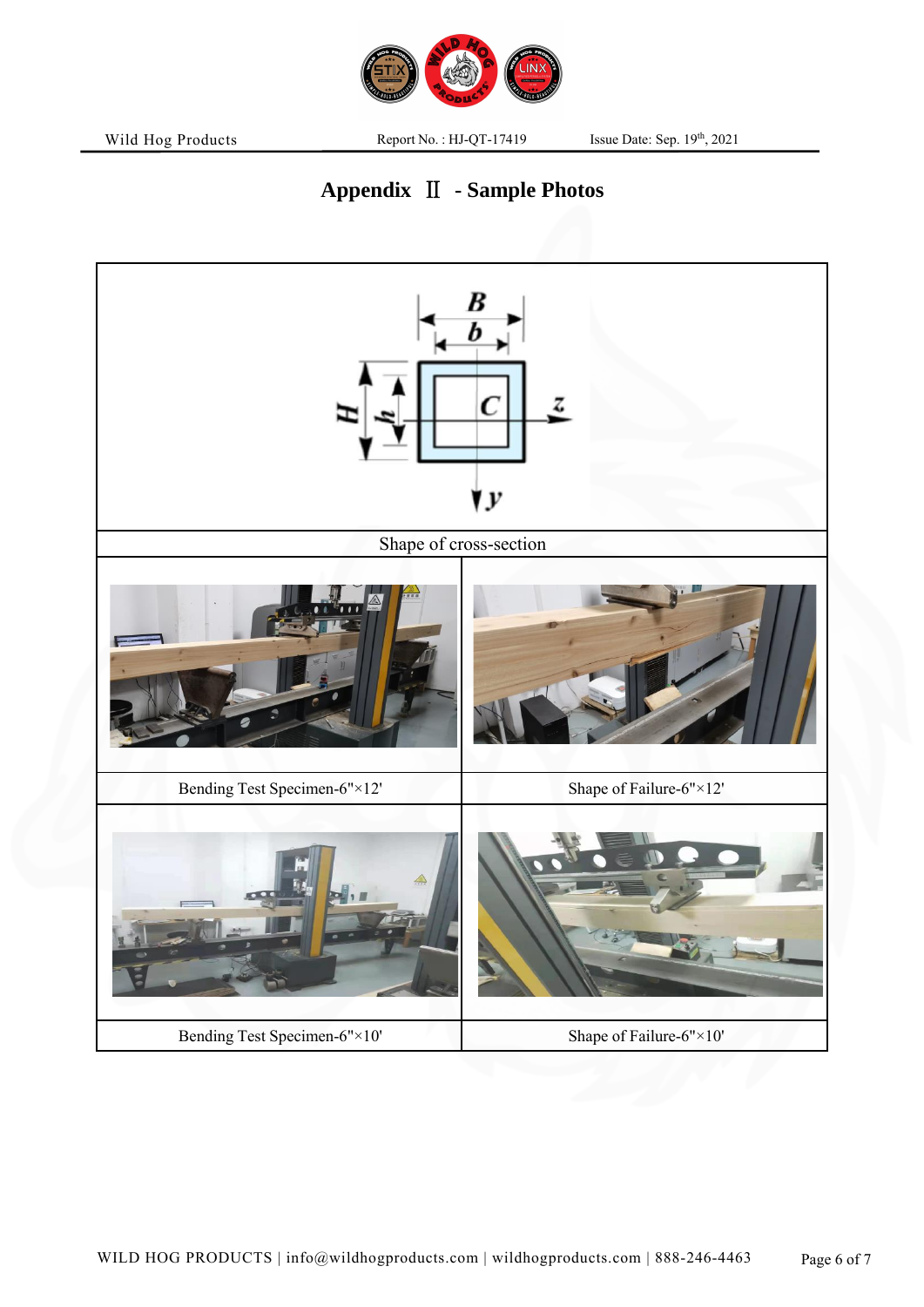

Report No.: HJ-QT-17419

th , 2021

# **Appendix** Ⅱ **- Sample Photos**